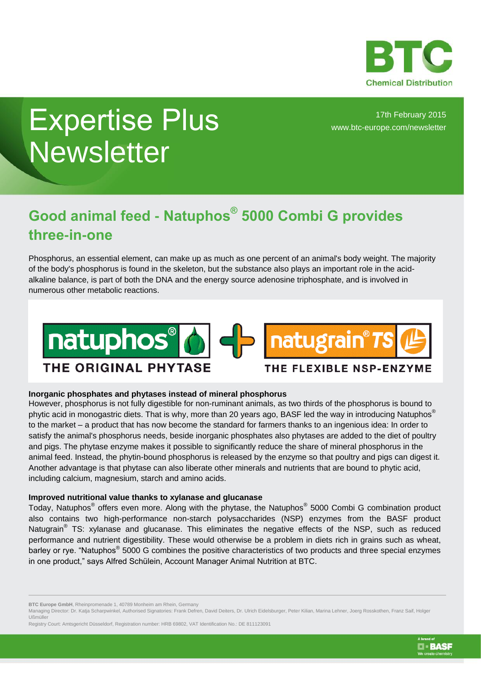

# Expertise Plus **Newsletter**

17th February 2015 [www.btc-europe.com/newsletter](http://www.btc-europe.com/newsletter)

# **Good animal feed - Natuphos® 5000 Combi G provides three-in-one**

Phosphorus, an essential element, can make up as much as one percent of an animal's body weight. The majority of the body's phosphorus is found in the skeleton, but the substance also plays an important role in the acidalkaline balance, is part of both the DNA and the energy source adenosine triphosphate, and is involved in numerous other metabolic reactions.



## **Inorganic phosphates and phytases instead of mineral phosphorus**

However, phosphorus is not fully digestible for non-ruminant animals, as two thirds of the phosphorus is bound to phytic acid in monogastric diets. That is why, more than 20 years ago, BASF led the way in introducing Natuphos<sup>®</sup> to the market – a product that has now become the standard for farmers thanks to an ingenious idea: In order to satisfy the animal's phosphorus needs, beside inorganic phosphates also phytases are added to the diet of poultry and pigs. The phytase enzyme makes it possible to significantly reduce the share of mineral phosphorus in the animal feed. Instead, the phytin-bound phosphorus is released by the enzyme so that poultry and pigs can digest it. Another advantage is that phytase can also liberate other minerals and nutrients that are bound to phytic acid, including calcium, magnesium, starch and amino acids.

### **Improved nutritional value thanks to xylanase and glucanase**

Today, Natuphos<sup>®</sup> offers even more. Along with the phytase, the Natuphos<sup>®</sup> 5000 Combi G combination product also contains two high-performance non-starch polysaccharides (NSP) enzymes from the BASF product Natugrain<sup>®</sup> TS: xylanase and glucanase. This eliminates the negative effects of the NSP, such as reduced performance and nutrient digestibility. These would otherwise be a problem in diets rich in grains such as wheat, barley or rye. "Natuphos<sup>®</sup> 5000 G combines the positive characteristics of two products and three special enzymes in one product," says Alfred Schülein, Account Manager Animal Nutrition at BTC.



**BTC Europe GmbH**, Rheinpromenade 1, 40789 Monheim am Rhein, Germany

Managing Director: Dr. Katja Scharpwinkel, Authorised Signatories: Frank Defren, David Deiters, Dr. Ulrich Eidelsburger, Peter Kilian, Marina Lehner, Joerg Rosskothen, Franz Saif, Holger Ußmüller

Registry Court: Amtsgericht Düsseldorf, Registration number: HRB 69802, VAT Identification No.: DE 811123091